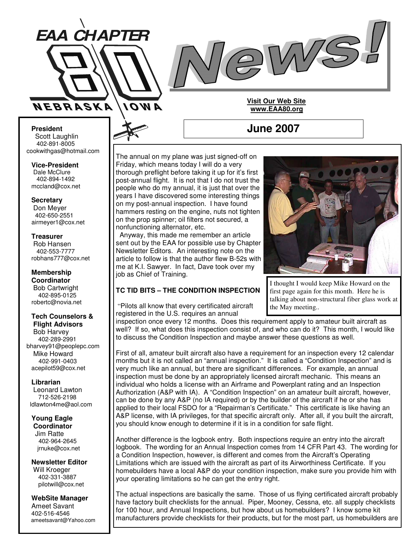



#### **President** Scott Laughlin 402-891-8005 cookwithgas@hotmail.com

**Vice-President** Dale McClure 402-894-1492 mccland@cox.net

#### **Secretary** Don Meyer 402-650-2551 airmeyer1@cox.net

#### **Treasurer** Rob Hansen 402-553-7777 robhans777@cox.net

#### **Membership Coordinator** Bob Cartwright 402-895-0125 robertc@novia.net

#### **Tech Counselors & Flight Advisors** Bob Harvey 402-289-2991 bharvey91@peoplepc.com Mike Howard 402-991-0403 acepilot59@cox.net

#### **Librarian**

Leonard Lawton 712-526-2198 ldlawton4me@aol.com

# **Young Eagle Coordinator**

Jim Ratte 402-964-2645 jrnuke@cox.net

#### **Newsletter Editor** Will Kroeger 402-331-3887 pilotwill@cox.net

**WebSite Manager** Ameet Savant 402-516-4546 ameetsavant@Yahoo.com

#### The annual on my plane was just signed-off on Friday, which means today I will do a very thorough preflight before taking it up for it's first post-annual flight. It is not that I do not trust the people who do my annual, it is just that over the years I have discovered some interesting things on my post-annual inspection. I have found hammers resting on the engine, nuts not tighten on the prop spinner; oil filters not secured, a nonfunctioning alternator, etc.

Anyway, this made me remember an article sent out by the EAA for possible use by Chapter Newsletter Editors. An interesting note on the article to follow is that the author flew B-52s with me at K.I. Sawyer. In fact, Dave took over my job as Chief of Training.

# **TC TID BITS – THE CONDITION INSPECTION**

"Pilots all know that every certificated aircraft registered in the U.S. requires an annual



I thought I would keep Mike Howard on the first page again for this month. Here he is talking about non-structural fiber glass work at the May meeting..

inspection once every 12 months. Does this requirement apply to amateur built aircraft as well? If so, what does this inspection consist of, and who can do it? This month, I would like to discuss the Condition Inspection and maybe answer these questions as well.

First of all, amateur built aircraft also have a requirement for an inspection every 12 calendar months but it is not called an "annual inspection." It is called a "Condition Inspection" and is very much like an annual, but there are significant differences. For example, an annual inspection must be done by an appropriately licensed aircraft mechanic. This means an individual who holds a license with an Airframe and Powerplant rating and an Inspection Authorization (A&P with IA). A "Condition Inspection" on an amateur built aircraft, however, can be done by any A&P (no IA required) or by the builder of the aircraft if he or she has applied to their local FSDO for a "Repairman's Certificate." This certificate is like having an A&P license, with IA privileges, for that specific aircraft only. After all, if you built the aircraft, you should know enough to determine if it is in a condition for safe flight.

Another difference is the logbook entry. Both inspections require an entry into the aircraft logbook. The wording for an Annual Inspection comes from 14 CFR Part 43. The wording for a Condition Inspection, however, is different and comes from the Aircraft's Operating Limitations which are issued with the aircraft as part of its Airworthiness Certificate. If you homebuilders have a local A&P do your condition inspection, make sure you provide him with your operating limitations so he can get the entry right.

The actual inspections are basically the same. Those of us flying certificated aircraft probably have factory built checklists for the annual. Piper, Mooney, Cessna, etc. all supply checklists for 100 hour, and Annual Inspections, but how about us homebuilders? I know some kit manufacturers provide checklists for their products, but for the most part, us homebuilders are

# **June 2007**

**Visit Our Web Site www.EAA80.org**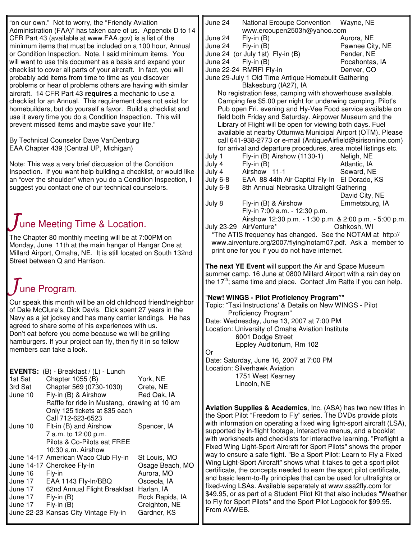| "on our own." Not to worry, the "Friendly Aviation"                                                                                                                                                              |                                                                      |                           | June 24<br>National Ercoupe Convention<br>Wayne, NE<br>www.ercoupen2503h@yahoo.com                                                                |                                                                                                                                             |                                  |
|------------------------------------------------------------------------------------------------------------------------------------------------------------------------------------------------------------------|----------------------------------------------------------------------|---------------------------|---------------------------------------------------------------------------------------------------------------------------------------------------|---------------------------------------------------------------------------------------------------------------------------------------------|----------------------------------|
| Administration (FAA)" has taken care of us. Appendix D to 14<br>CFR Part 43 (available at www.FAA.gov) is a list of the                                                                                          |                                                                      |                           | June 24                                                                                                                                           | $Fly-in(B)$                                                                                                                                 | Aurora, NE                       |
|                                                                                                                                                                                                                  | minimum items that must be included on a 100 hour, Annual            |                           | June 24                                                                                                                                           | $Fly-in(B)$                                                                                                                                 | Pawnee City, NE                  |
|                                                                                                                                                                                                                  | or Condition Inspection. Note, I said minimum items. You             |                           |                                                                                                                                                   | June 24 (or July 1st) Fly-in (B)                                                                                                            | Pender, NE                       |
|                                                                                                                                                                                                                  | will want to use this document as a basis and expand your            |                           | June 24                                                                                                                                           | $Fly-in(B)$                                                                                                                                 | Pocahontas, IA                   |
|                                                                                                                                                                                                                  | checklist to cover all parts of your aircraft. In fact, you will     |                           |                                                                                                                                                   | June 22-24 RMRFI Fly-in                                                                                                                     | Denver, CO                       |
| probably add items from time to time as you discover                                                                                                                                                             |                                                                      |                           | June 29-July 1 Old Time Antique Homebuilt Gathering                                                                                               |                                                                                                                                             |                                  |
| problems or hear of problems others are having with similar                                                                                                                                                      |                                                                      |                           | Blakesburg (IA27), IA                                                                                                                             |                                                                                                                                             |                                  |
| aircraft. 14 CFR Part 43 requires a mechanic to use a                                                                                                                                                            |                                                                      |                           | No registration fees, camping with showerhouse available.                                                                                         |                                                                                                                                             |                                  |
| checklist for an Annual. This requirement does not exist for                                                                                                                                                     |                                                                      |                           | Camping fee \$5.00 per night for underwing camping. Pilot's                                                                                       |                                                                                                                                             |                                  |
| homebuilders, but do yourself a favor. Build a checklist and<br>use it every time you do a Condition Inspection. This will                                                                                       |                                                                      |                           | Pub open Fri. evening and Hy-Vee Food service available on<br>field both Friday and Saturday. Airpower Museum and the                             |                                                                                                                                             |                                  |
| prevent missed items and maybe save your life."                                                                                                                                                                  |                                                                      |                           | Library of Flight will be open for viewing both days. Fuel                                                                                        |                                                                                                                                             |                                  |
|                                                                                                                                                                                                                  |                                                                      |                           | available at nearby Ottumwa Municipal Airport (OTM). Please                                                                                       |                                                                                                                                             |                                  |
| By Technical Counselor Dave VanDenburg                                                                                                                                                                           |                                                                      |                           | call 641-938-2773 or e-mail (AntiqueAirfield@sirisonline.com)                                                                                     |                                                                                                                                             |                                  |
| EAA Chapter 439 (Central UP, Michigan)                                                                                                                                                                           |                                                                      |                           |                                                                                                                                                   | for arrival and departure procedures, area motel listings etc.                                                                              |                                  |
|                                                                                                                                                                                                                  |                                                                      |                           | July 1                                                                                                                                            | Fly-in (B) Airshow (1130-1)                                                                                                                 | Neligh, NE                       |
|                                                                                                                                                                                                                  | Note: This was a very brief discussion of the Condition              |                           | July 4                                                                                                                                            | $Fly-in(B)$                                                                                                                                 | Atlantic, IA                     |
|                                                                                                                                                                                                                  | Inspection. If you want help building a checklist, or would like     |                           | July 4                                                                                                                                            | Airshow 11-1                                                                                                                                | Seward, NE                       |
| an "over the shoulder" when you do a Condition Inspection, I                                                                                                                                                     |                                                                      |                           | July 6-8                                                                                                                                          | EAA 88 44th Air Capital Fly-In El Dorado, KS                                                                                                |                                  |
| suggest you contact one of our technical counselors.                                                                                                                                                             |                                                                      |                           | July 6-8                                                                                                                                          | 8th Annual Nebraska Ultralight Gathering                                                                                                    |                                  |
|                                                                                                                                                                                                                  |                                                                      |                           | July 8                                                                                                                                            | Fly-in (B) & Airshow                                                                                                                        | David City, NE<br>Emmetsburg, IA |
|                                                                                                                                                                                                                  |                                                                      |                           |                                                                                                                                                   | Fly-in 7:00 a.m. - 12:30 p.m.                                                                                                               |                                  |
|                                                                                                                                                                                                                  |                                                                      |                           |                                                                                                                                                   | Airshow 12:30 p.m. - 1:30 p.m. & 2:00 p.m. - 5:00 p.m.                                                                                      |                                  |
| June Meeting Time & Location.                                                                                                                                                                                    |                                                                      |                           |                                                                                                                                                   | July 23-29 AirVenture*                                                                                                                      | Oshkosh, WI                      |
|                                                                                                                                                                                                                  |                                                                      |                           |                                                                                                                                                   | *The ATIS frequency has changed. See the NOTAM at http://                                                                                   |                                  |
| The Chapter 80 monthly meeting will be at 7:00PM on<br>Monday, June 11th at the main hangar of Hangar One at<br>Millard Airport, Omaha, NE. It is still located on South 132nd<br>Street between Q and Harrison. |                                                                      |                           | www.airventure.org/2007/flying/notam07.pdf. Ask a member to                                                                                       |                                                                                                                                             |                                  |
|                                                                                                                                                                                                                  |                                                                      |                           | print one for you if you do not have internet.                                                                                                    |                                                                                                                                             |                                  |
|                                                                                                                                                                                                                  |                                                                      |                           |                                                                                                                                                   |                                                                                                                                             |                                  |
|                                                                                                                                                                                                                  |                                                                      |                           |                                                                                                                                                   | The next YE Event will support the Air and Space Museum                                                                                     |                                  |
|                                                                                                                                                                                                                  |                                                                      |                           | summer camp. 16 June at 0800 Millard Airport with a rain day on<br>the 17 <sup>th</sup> ; same time and place. Contact Jim Ratte if you can help. |                                                                                                                                             |                                  |
| une Program.                                                                                                                                                                                                     |                                                                      |                           |                                                                                                                                                   |                                                                                                                                             |                                  |
|                                                                                                                                                                                                                  |                                                                      |                           |                                                                                                                                                   | "New! WINGS - Pilot Proficiency Program""                                                                                                   |                                  |
| Our speak this month will be an old childhood friend/neighbor                                                                                                                                                    |                                                                      |                           | Topic: "Taxi Instructions' & Details on New WINGS - Pilot                                                                                         |                                                                                                                                             |                                  |
| of Dale McClure's, Dick Davis. Dick spent 27 years in the                                                                                                                                                        |                                                                      |                           | Proficiency Program"                                                                                                                              |                                                                                                                                             |                                  |
| Navy as a jet jockey and has many carrier landings. He has                                                                                                                                                       |                                                                      |                           | Date: Wednesday, June 13, 2007 at 7:00 PM                                                                                                         |                                                                                                                                             |                                  |
| agreed to share some of his experiences with us.                                                                                                                                                                 |                                                                      |                           | Location: University of Omaha Aviation Institute                                                                                                  |                                                                                                                                             |                                  |
| Don't eat before you come because we will be grilling<br>hamburgers. If your project can fly, then fly it in so fellow                                                                                           |                                                                      |                           | 6001 Dodge Street                                                                                                                                 |                                                                                                                                             |                                  |
| members can take a look.                                                                                                                                                                                         |                                                                      |                           |                                                                                                                                                   | Eppley Auditorium, Rm 102                                                                                                                   |                                  |
|                                                                                                                                                                                                                  |                                                                      |                           | Or                                                                                                                                                |                                                                                                                                             |                                  |
|                                                                                                                                                                                                                  |                                                                      |                           | Date: Saturday, June 16, 2007 at 7:00 PM<br>Location: Silverhawk Aviation                                                                         |                                                                                                                                             |                                  |
| EVENTS: (B) - Breakfast / (L) - Lunch                                                                                                                                                                            |                                                                      |                           | 1751 West Kearney                                                                                                                                 |                                                                                                                                             |                                  |
| 1st Sat                                                                                                                                                                                                          | Chapter 1055 (B)                                                     | York, NE                  |                                                                                                                                                   | Lincoln, NE                                                                                                                                 |                                  |
| 3rd Sat                                                                                                                                                                                                          | Chapter 569 (0730-1030)                                              | Crete, NE                 |                                                                                                                                                   |                                                                                                                                             |                                  |
| June 10                                                                                                                                                                                                          | Fly-in (B) & Airshow<br>Raffle for ride in Mustang, drawing at 10 am | Red Oak, IA               |                                                                                                                                                   |                                                                                                                                             |                                  |
|                                                                                                                                                                                                                  | Only 125 tickets at \$35 each                                        |                           |                                                                                                                                                   | Aviation Supplies & Academics, Inc. (ASA) has two new titles in                                                                             |                                  |
|                                                                                                                                                                                                                  | Call 712-623-6523                                                    |                           |                                                                                                                                                   | the Sport Pilot "Freedom to Fly" series. The DVDs provide pilots                                                                            |                                  |
| June 10                                                                                                                                                                                                          | Flt-in (B) and Airshow                                               | Spencer, IA               |                                                                                                                                                   | with information on operating a fixed wing light-sport aircraft (LSA),                                                                      |                                  |
|                                                                                                                                                                                                                  | 7 a.m. to 12:00 p.m.                                                 |                           |                                                                                                                                                   | supported by in-flight footage, interactive menus, and a booklet                                                                            |                                  |
|                                                                                                                                                                                                                  | Pilots & Co-Pilots eat FREE                                          |                           |                                                                                                                                                   | with worksheets and checklists for interactive learning. "Preflight a<br>Fixed Wing Light-Sport Aircraft for Sport Pilots" shows the proper |                                  |
|                                                                                                                                                                                                                  | 10:30 a.m. Airshow                                                   |                           |                                                                                                                                                   | way to ensure a safe flight. "Be a Sport Pilot: Learn to Fly a Fixed                                                                        |                                  |
|                                                                                                                                                                                                                  | June 14-17 American Waco Club Fly-in                                 | St Louis, MO              |                                                                                                                                                   | Wing Light-Sport Aircraft" shows what it takes to get a sport pilot                                                                         |                                  |
|                                                                                                                                                                                                                  | June 14-17 Cherokee Fly-In                                           | Osage Beach, MO           |                                                                                                                                                   | certificate, the concepts needed to earn the sport pilot certificate,                                                                       |                                  |
| June 16<br>June 17                                                                                                                                                                                               | Fly-in<br>EAA 1143 Fly-In/BBQ                                        | Aurora, MO<br>Osceola, IA |                                                                                                                                                   | and basic learn-to-fly principles that can be used for ultralights or                                                                       |                                  |
| June 17                                                                                                                                                                                                          | 62nd Annual Flight Breakfast Harlan, IA                              |                           |                                                                                                                                                   | fixed-wing LSAs. Available separately at www.asa2fly.com for                                                                                |                                  |
| June 17                                                                                                                                                                                                          | $Fly-in(B)$                                                          | Rock Rapids, IA           |                                                                                                                                                   | \$49.95, or as part of a Student Pilot Kit that also includes "Weather                                                                      |                                  |
| June 17                                                                                                                                                                                                          | $Fly-in(B)$                                                          | Creighton, NE             |                                                                                                                                                   | to Fly for Sport Pilots" and the Sport Pilot Logbook for \$99.95.                                                                           |                                  |
|                                                                                                                                                                                                                  | June 22-23 Kansas City Vintage Fly-in                                | Gardner, KS               | From AVWEB.                                                                                                                                       |                                                                                                                                             |                                  |
|                                                                                                                                                                                                                  |                                                                      |                           |                                                                                                                                                   |                                                                                                                                             |                                  |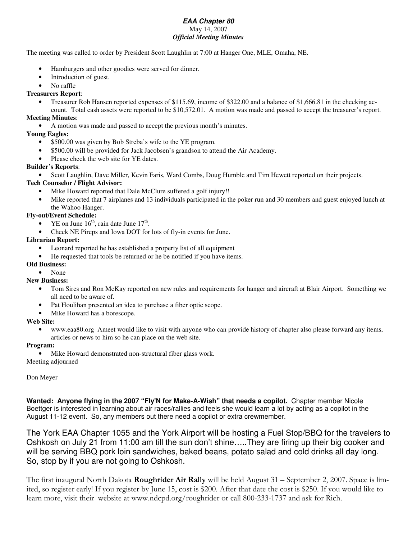# *EAA Chapter 80* May 14, 2007 *Official Meeting Minutes*

The meeting was called to order by President Scott Laughlin at 7:00 at Hanger One, MLE, Omaha, NE.

- Hamburgers and other goodies were served for dinner.
- Introduction of guest.
- No raffle

# **Treasurers Report**:

• Treasurer Rob Hansen reported expenses of \$115.69, income of \$322.00 and a balance of \$1,666.81 in the checking account. Total cash assets were reported to be \$10,572.01. A motion was made and passed to accept the treasurer's report.

### **Meeting Minutes**:

• A motion was made and passed to accept the previous month's minutes.

# **Young Eagles:**

- \$500.00 was given by Bob Streba's wife to the YE program.
- \$500.00 will be provided for Jack Jacobsen's grandson to attend the Air Academy.
- Please check the web site for YE dates.

# **Builder's Reports**:

• Scott Laughlin, Dave Miller, Kevin Faris, Ward Combs, Doug Humble and Tim Hewett reported on their projects.

# **Tech Counselor / Flight Advisor:**

- Mike Howard reported that Dale McClure suffered a golf injury!!
- Mike reported that 7 airplanes and 13 individuals participated in the poker run and 30 members and guest enjoyed lunch at the Wahoo Hanger.

# **Fly-out/Event Schedule:**

- YE on June  $16<sup>th</sup>$ , rain date June  $17<sup>th</sup>$ .
- Check NE Pireps and Iowa DOT for lots of fly-in events for June.

# **Librarian Report:**

- Leonard reported he has established a property list of all equipment
- He requested that tools be returned or he be notified if you have items.

# **Old Business:**

• None

**New Business:**

- Tom Sires and Ron McKay reported on new rules and requirements for hanger and aircraft at Blair Airport. Something we all need to be aware of.
- Pat Houlihan presented an idea to purchase a fiber optic scope.
- Mike Howard has a borescope.

#### **Web Site:**

• www.eaa80.org Ameet would like to visit with anyone who can provide history of chapter also please forward any items, articles or news to him so he can place on the web site.

#### **Program:**

• Mike Howard demonstrated non-structural fiber glass work.

Meeting adjourned

# Don Meyer

**Wanted: Anyone flying in the 2007 "Fly'N for Make-A-Wish" that needs a copilot.** Chapter member Nicole Boettger is interested in learning about air races/rallies and feels she would learn a lot by acting as a copilot in the August 11-12 event. So, any members out there need a copilot or extra crewmember.

The York EAA Chapter 1055 and the York Airport will be hosting a Fuel Stop/BBQ for the travelers to Oshkosh on July 21 from 11:00 am till the sun don't shine…..They are firing up their big cooker and will be serving BBQ pork loin sandwiches, baked beans, potato salad and cold drinks all day long. So, stop by if you are not going to Oshkosh.

The first inaugural North Dakota **Roughrider Air Rally** will be held August 31 – September 2, 2007. Space is limited, so register early! If you register by June 15, cost is \$200. After that date the cost is \$250. If you would like to learn more, visit their website at www.ndcpd.org/roughrider or call 800-233-1737 and ask for Rich.